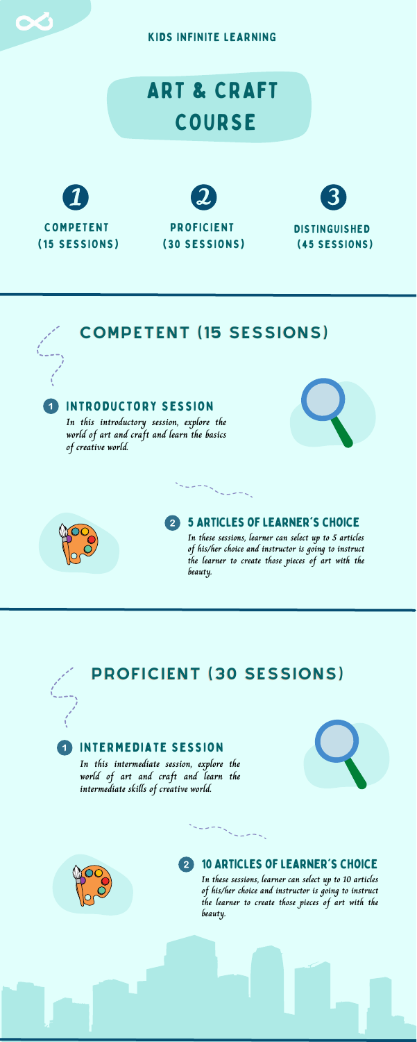COMPETENT (15 SESSIONS)

**DISTINGUISHED** (45 SESSIONS)

### Introductory Session

#### 5 Articles of learner's choice  $\overline{2}$

**In this introductory session, explore the world of art and craft and learn the basics of creative world.**





**In these sessions, learner can select up to 5 articles of his/her choice and instructor is going to instruct the learner to create those pieces of art with the beauty.**

#### 10 Articles of learner's choice  $\mathbf{2}$







KIDS INFINITE LEARNING

## COMPETENT (15 SESSIONS)





### Intermediate Session

**In this intermediate session, explore the world of art and craft and learn the intermediate skills of creative world.**





**In these sessions, learner can select up to 10 articles of his/her choice and instructor is going to instruct the learner to create those pieces of art with the beauty.**

## PROFICIENT (30 SESSIONS)

 $\sum_{i=1}^{n} \frac{1}{i} \sum_{i=1}^{n} \frac{1}{i} \sum_{j=1}^{n} \frac{1}{j} \sum_{i=1}^{n} \frac{1}{j} \sum_{j=1}^{n} \frac{1}{j} \sum_{j=1}^{n} \frac{1}{j} \sum_{j=1}^{n} \frac{1}{j} \sum_{j=1}^{n} \frac{1}{j} \sum_{j=1}^{n} \frac{1}{j} \sum_{j=1}^{n} \frac{1}{j} \sum_{j=1}^{n} \frac{1}{j} \sum_{j=1}^{n} \frac{1}{j} \sum_{j=1}^{n} \frac{1}{j$